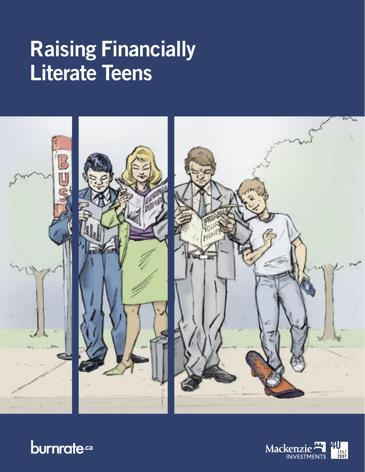# **Raising Financially Literate Teens**





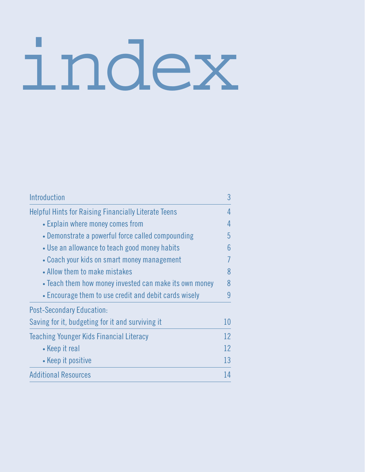# index

| Introduction                                                | 3  |
|-------------------------------------------------------------|----|
| <b>Helpful Hints for Raising Financially Literate Teens</b> | 4  |
| • Explain where money comes from                            | 4  |
| • Demonstrate a powerful force called compounding           | 5  |
| • Use an allowance to teach good money habits               | 6  |
| • Coach your kids on smart money management                 | 7  |
| • Allow them to make mistakes                               | 8  |
| • Teach them how money invested can make its own money      | 8  |
| • Encourage them to use credit and debit cards wisely       | 9  |
| <b>Post-Secondary Education:</b>                            |    |
| Saving for it, budgeting for it and surviving it            | 10 |
| Teaching Younger Kids Financial Literacy                    | 12 |
| • Keep it real                                              | 12 |
| • Keep it positive                                          | 13 |
| <b>Additional Resources</b>                                 | 14 |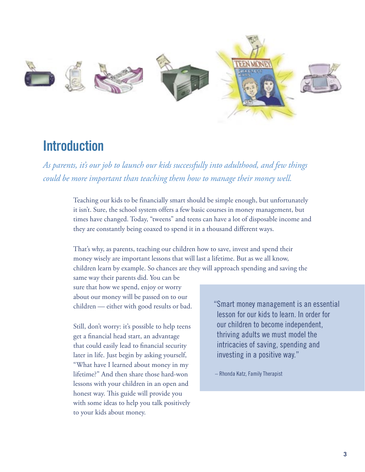

# **Introduction**

*As parents, it's our job to launch our kids successfully into adulthood, and few things could be more important than teaching them how to manage their money well.*

> Teaching our kids to be financially smart should be simple enough, but unfortunately it isn't. Sure, the school system offers a few basic courses in money management, but times have changed. Today, "tweens" and teens can have a lot of disposable income and they are constantly being coaxed to spend it in a thousand different ways.

That's why, as parents, teaching our children how to save, invest and spend their money wisely are important lessons that will last a lifetime. But as we all know, children learn by example. So chances are they will approach spending and saving the

same way their parents did. You can be sure that how we spend, enjoy or worry about our money will be passed on to our children — either with good results or bad.

Still, don't worry: it's possible to help teens get a financial head start, an advantage that could easily lead to financial security later in life. Just begin by asking yourself, "What have I learned about money in my lifetime?" And then share those hard-won lessons with your children in an open and honest way. This guide will provide you with some ideas to help you talk positively to your kids about money.

" Smart money management is an essential lesson for our kids to learn. In order for our children to become independent, thriving adults we must model the intricacies of saving, spending and investing in a positive way."

– Rhonda Katz, Family Therapist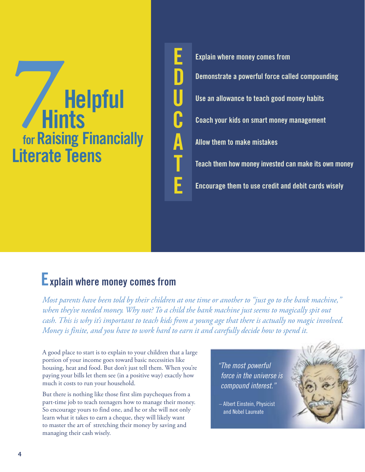# *P*<br> **Example 1**<br> **Example 1**<br> **Example 1**<br> **Example 1**<br> **Example 1**<br> **Example 1**<br> **Example 1**<br> **Example 1**<br> **Example 1 7 for Raising Financially Literate Teens**

**E Explain where money comes from D Demonstrate a powerful force called compounding U Use an allowance to teach good money habits C Coach your kids on smart money management A Allow them to make mistakes T Teach them how money invested can make its own money E Encourage them to use credit and debit cards wisely**

# **Explain where money comes from**

*Most parents have been told by their children at one time or another to "just go to the bank machine," when they've needed money. Why not? To a child the bank machine just seems to magically spit out cash. This is why it's important to teach kids from a young age that there is actually no magic involved. Money is finite, and you have to work hard to earn it and carefully decide how to spend it.* 

A good place to start is to explain to your children that a large portion of your income goes toward basic necessities like housing, heat and food. But don't just tell them. When you're paying your bills let them see (in a positive way) exactly how much it costs to run your household.

But there is nothing like those first slim paycheques from a part-time job to teach teenagers how to manage their money. So encourage yours to find one, and he or she will not only learn what it takes to earn a cheque, they will likely want to master the art of stretching their money by saving and managing their cash wisely.

" The most powerful force in the universe is compound interest."

 – Albert Einstein, Physicist and Nobel Laureate

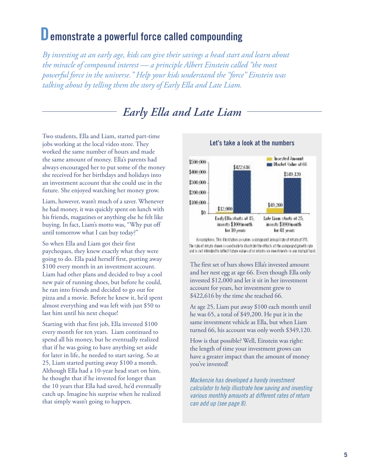### **Demonstrate a powerful force called compounding**

*By investing at an early age, kids can give their savings a head start and learn about the miracle of compound interest — a principle Albert Einstein called "the most powerful force in the universe." Help your kids understand the "force" Einstein was talking about by telling them the story of Early Ella and Late Liam.* 

### *Early Ella and Late Liam*

Two students, Ella and Liam, started part-time jobs working at the local video store. They worked the same number of hours and made the same amount of money. Ella's parents had always encouraged her to put some of the money she received for her birthdays and holidays into an investment account that she could use in the future. She enjoyed watching her money grow.

Liam, however, wasn't much of a saver. Whenever he had money, it was quickly spent on lunch with his friends, magazines or anything else he felt like buying. In fact, Liam's motto was, "Why put off until tomorrow what I can buy today?"

So when Ella and Liam got their first paycheques, they knew exactly what they were going to do. Ella paid herself first, putting away \$100 every month in an investment account. Liam had other plans and decided to buy a cool new pair of running shoes, but before he could, he ran into friends and decided to go out for pizza and a movie. Before he knew it, he'd spent almost everything and was left with just \$50 to last him until his next cheque!

Starting with that first job, Ella invested \$100 every month for ten years. Liam continued to spend all his money, but he eventually realized that if he was going to have anything set aside for later in life, he needed to start saving. So at 25, Liam started putting away \$100 a month. Although Ella had a 10-year head start on him, he thought that if he invested for longer than the 10 years that Ella had saved, he'd eventually catch up. Imagine his surprise when he realized that simply wasn't going to happen.



**Let's take a look at the numbers**

Assingtions. This illustration assumes a computed annual rate of return of 8%. The rate influits shows is used as tyle illustrate the effects of the conpa indigowth rate. and is not intended to reflect future values of or returns on investments in any motical fund.

The first set of bars shows Ella's invested amount and her nest egg at age 66. Even though Ella only invested \$12,000 and let it sit in her investment account for years, her investment grew to \$422,616 by the time she reached 66.

At age 25, Liam put away \$100 each month until he was 65, a total of \$49,200. He put it in the same investment vehicle as Ella, but when Liam turned 66, his account was only worth \$349,120.

How is that possible? Well, Einstein was right: the length of time your investment grows can have a greater impact than the amount of money you've invested!

Mackenzie has developed a handy investment calculator to help illustrate how saving and investing various monthly amounts at different rates of return can add up (see page 8).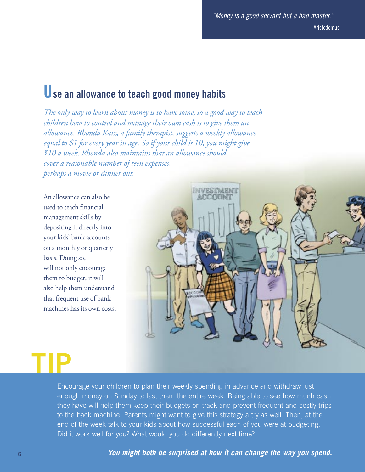" Money is a good servant but a bad master." – Aristodemus

# **Use an allowance to teach good money habits**

*The only way to learn about money is to have some, so a good way to teach children how to control and manage their own cash is to give them an allowance. Rhonda Katz, a family therapist, suggests a weekly allowance equal to \$1 for every year in age. So if your child is 10, you might give \$10 a week. Rhonda also maintains that an allowance should cover a reasonable number of teen expenses, perhaps a movie or dinner out.* 

An allowance can also be used to teach financial management skills by depositing it directly into your kids' bank accounts on a monthly or quarterly basis. Doing so, will not only encourage them to budget, it will also help them understand that frequent use of bank machines has its own costs.



**TIP**

Encourage your children to plan their weekly spending in advance and withdraw just enough money on Sunday to last them the entire week. Being able to see how much cash they have will help them keep their budgets on track and prevent frequent and costly trips to the back machine. Parents might want to give this strategy a try as well. Then, at the end of the week talk to your kids about how successful each of you were at budgeting. Did it work well for you? What would you do differently next time?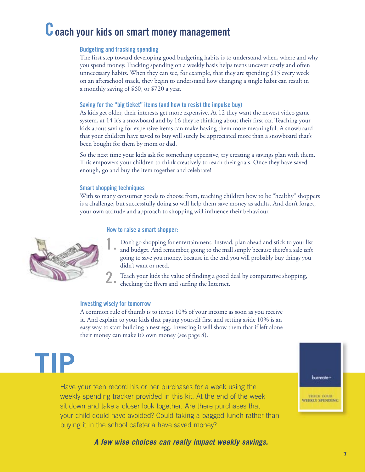# **Coach your kids on smart money management**

### **Budgeting and tracking spending**

The first step toward developing good budgeting habits is to understand when, where and why you spend money. Tracking spending on a weekly basis helps teens uncover costly and often unnecessary habits. When they can see, for example, that they are spending \$15 every week on an afterschool snack, they begin to understand how changing a single habit can result in a monthly saving of \$60, or \$720 a year.

#### **Saving for the "big ticket" items (and how to resist the impulse buy)**

As kids get older, their interests get more expensive. At 12 they want the newest video game system, at 14 it's a snowboard and by 16 they're thinking about their first car. Teaching your kids about saving for expensive items can make having them more meaningful. A snowboard that your children have saved to buy will surely be appreciated more than a snowboard that's been bought for them by mom or dad.

So the next time your kids ask for something expensive, try creating a savings plan with them. This empowers your children to think creatively to reach their goals. Once they have saved enough, go and buy the item together and celebrate!

#### **Smart shopping techniques**

With so many consumer goods to choose from, teaching children how to be "healthy" shoppers is a challenge, but successfully doing so will help them save money as adults. And don't forget, your own attitude and approach to shopping will influence their behaviour.

#### **How to raise a smart shopper:**



- **1.** Don't go shopping for entertainment. Instead, plan ahead and stick to your list and budget. And remember, going to the mall simply because there's a sale isn't going to save you money, because in the end you will probably buy things you didn't want or need.
- **2.** Teach your kids the value of finding a good deal by comparative shopping, checking the flyers and surfing the Internet.

#### **Investing wisely for tomorrow**

A common rule of thumb is to invest 10% of your income as soon as you receive it. And explain to your kids that paying yourself first and setting aside 10% is an easy way to start building a nest egg. Investing it will show them that if left alone their money can make it's own money (see page 8).

**TIP**

Have your teen record his or her purchases for a week using the weekly spending tracker provided in this kit. At the end of the week sit down and take a closer look together. Are there purchases that your child could have avoided? Could taking a bagged lunch rather than buying it in the school cafeteria have saved money?

**A few wise choices can really impact weekly savings.**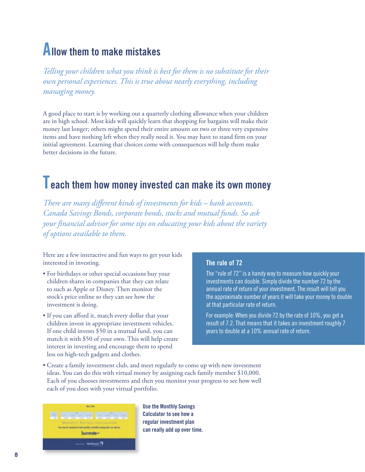# **Allow them to make mistakes**

*Telling your children what you think is best for them is no substitute for their own personal experiences. This is true about nearly everything, including managing money.*

A good place to start is by working out a quarterly clothing allowance when your children are in high school. Most kids will quickly learn that shopping for bargains will make their money last longer; others might spend their entire amount on two or three very expensive items and have nothing left when they really need it. You may have to stand firm on your initial agreement. Learning that choices come with consequences will help them make better decisions in the future.

# **Teach them how money invested can make its own money**

*There are many different kinds of investments for kids – bank accounts, Canada Savings Bonds, corporate bonds, stocks and mutual funds. So ask your financial advisor for some tips on educating your kids about the variety of options available to them.*

Here are a few interactive and fun ways to get your kids interested in investing.

- For birthdays or other special occasions buy your children shares in companies that they can relate to such as Apple or Disney. Then monitor the stock's price online so they can see how the investment is doing.
- If you can afford it, match every dollar that your children invest in appropriate investment vehicles. If one child invests \$50 in a mutual fund, you can match it with \$50 of your own. This will help create interest in investing and encourage them to spend less on high-tech gadgets and clothes.

### **The rule of 72**

The "rule of 72" is a handy way to measure how quickly your investments can double. Simply divide the number 72 by the annual rate of return of your investment. The result will tell you the approximate number of years it will take your money to double at that particular rate of return.

For example: When you divide 72 by the rate of 10%, you get a result of 7.2. That means that it takes an investment roughly 7 years to double at a 10% annual rate of return.

• Create a family investment club, and meet regularly to come up with new investment ideas. You can do this with virtual money by assigning each family member \$10,000. Each of you chooses investments and then you monitor your progress to see how well each of you does with your virtual portfolio.



**Use the Monthly Savings Calculator to see how a regular investment plan can really add up over time.**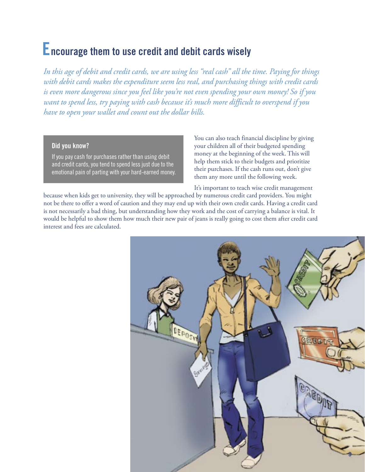# **Encourage them to use credit and debit cards wisely**

*In this age of debit and credit cards, we are using less "real cash" all the time. Paying for things with debit cards makes the expenditure seem less real, and purchasing things with credit cards is even more dangerous since you feel like you're not even spending your own money! So if you want to spend less, try paying with cash because it's much more difficult to overspend if you have to open your wallet and count out the dollar bills.* 

### **Did you know?**

If you pay cash for purchases rather than using debit and credit cards, you tend to spend less just due to the emotional pain of parting with your hard-earned money.

You can also teach financial discipline by giving your children all of their budgeted spending money at the beginning of the week. This will help them stick to their budgets and prioritize their purchases. If the cash runs out, don't give them any more until the following week.

It's important to teach wise credit management

because when kids get to university, they will be approached by numerous credit card providers. You might not be there to offer a word of caution and they may end up with their own credit cards. Having a credit card is not necessarily a bad thing, but understanding how they work and the cost of carrying a balance is vital. It would be helpful to show them how much their new pair of jeans is really going to cost them after credit card interest and fees are calculated.

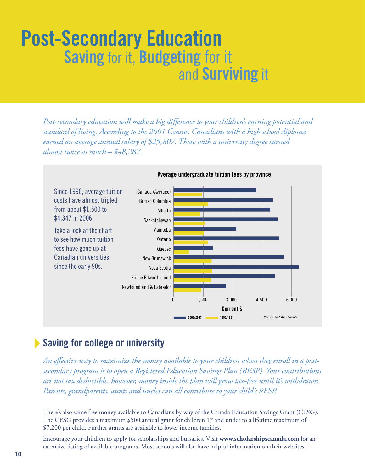# **Post-Secondary Education Saving** for it, **Budgeting** for itand **Surviving** it

*Post-secondary education will make a big difference to your children's earning potential and standard of living. According to the 2001 Census, Canadians with a high school diploma earned an average annual salary of \$25,807. Those with a university degree earned almost twice as much – \$48,287.* 



**Average undergraduate tuition fees by province**

### **Saving for college or university**

*An effective way to maximize the money available to your children when they enroll in a postsecondary program is to open a Registered Education Savings Plan (RESP). Your contributions are not tax deductible, however, money inside the plan will grow tax-free until it's withdrawn. Parents, grandparents, aunts and uncles can all contribute to your child's RESP.* 

There's also some free money available to Canadians by way of the Canada Education Savings Grant (CESG). The CESG provides a maximum \$500 annual grant for children 17 and under to a lifetime maximum of \$7,200 per child. Further grants are available to lower income families.

Encourage your children to apply for scholarships and bursaries. Visit **www.scholarshipscanada.com** for an extensive listing of available programs. Most schools will also have helpful information on their websites.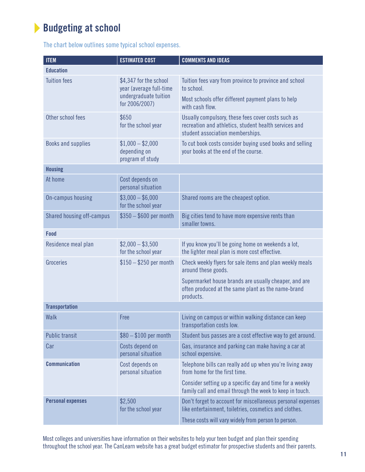### **Budgeting at school**

The chart below outlines some typical school expenses.

| <b>ITEM</b>               | <b>ESTIMATED COST</b>                                 | <b>COMMENTS AND IDEAS</b>                                                                                                                       |
|---------------------------|-------------------------------------------------------|-------------------------------------------------------------------------------------------------------------------------------------------------|
| <b>Education</b>          |                                                       |                                                                                                                                                 |
| <b>Tuition fees</b>       | \$4,347 for the school<br>year (average full-time     | Tuition fees vary from province to province and school<br>to school.                                                                            |
|                           | undergraduate tuition<br>for 2006/2007)               | Most schools offer different payment plans to help<br>with cash flow.                                                                           |
| Other school fees         | \$650<br>for the school year                          | Usually compulsory, these fees cover costs such as<br>recreation and athletics, student health services and<br>student association memberships. |
| Books and supplies        | $$1,000 - $2,000$<br>depending on<br>program of study | To cut book costs consider buying used books and selling<br>your books at the end of the course.                                                |
| <b>Housing</b>            |                                                       |                                                                                                                                                 |
| At home                   | Cost depends on<br>personal situation                 |                                                                                                                                                 |
| On-campus housing         | $$3,000 - $6,000$<br>for the school year              | Shared rooms are the cheapest option.                                                                                                           |
| Shared housing off-campus | $$350 - $600$ per month                               | Big cities tend to have more expensive rents than<br>smaller towns.                                                                             |
| Food                      |                                                       |                                                                                                                                                 |
| Residence meal plan       | $$2,000 - $3,500$<br>for the school year              | If you know you'll be going home on weekends a lot,<br>the lighter meal plan is more cost effective.                                            |
| Groceries                 | $$150 - $250$ per month                               | Check weekly flyers for sale items and plan weekly meals<br>around these goods.                                                                 |
|                           |                                                       | Supermarket house brands are usually cheaper, and are<br>often produced at the same plant as the name-brand<br>products.                        |
| <b>Transportation</b>     |                                                       |                                                                                                                                                 |
| Walk                      | Free                                                  | Living on campus or within walking distance can keep<br>transportation costs low.                                                               |
| <b>Public transit</b>     | $$80 - $100$ per month                                | Student bus passes are a cost effective way to get around.                                                                                      |
| Car                       | Costs depend on<br>personal situation                 | Gas, insurance and parking can make having a car at<br>school expensive.                                                                        |
| <b>Communication</b>      | Cost depends on<br>personal situation                 | Telephone bills can really add up when you're living away<br>from home for the first time.                                                      |
|                           |                                                       | Consider setting up a specific day and time for a weekly<br>family call and email through the week to keep in touch.                            |
| <b>Personal expenses</b>  | \$2,500<br>for the school year                        | Don't forget to account for miscellaneous personal expenses<br>like entertainment, toiletries, cosmetics and clothes.                           |
|                           |                                                       | These costs will vary widely from person to person.                                                                                             |

Most colleges and universities have information on their websites to help your teen budget and plan their spending throughout the school year. The CanLearn website has a great budget estimator for prospective students and their parents.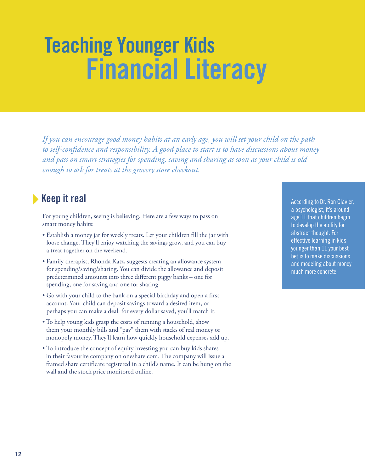# **Teaching Younger Kids Financial Literacy**

*If you can encourage good money habits at an early age, you will set your child on the path to self-confidence and responsibility. A good place to start is to have discussions about money and pass on smart strategies for spending, saving and sharing as soon as your child is old enough to ask for treats at the grocery store checkout.*

### **Keep it real**

For young children, seeing is believing. Here are a few ways to pass on smart money habits:

- Establish a money jar for weekly treats. Let your children fill the jar with loose change. They'll enjoy watching the savings grow, and you can buy a treat together on the weekend.
- Family therapist, Rhonda Katz, suggests creating an allowance system for spending/saving/sharing. You can divide the allowance and deposit predetermined amounts into three different piggy banks – one for spending, one for saving and one for sharing.
- Go with your child to the bank on a special birthday and open a first account. Your child can deposit savings toward a desired item, or perhaps you can make a deal: for every dollar saved, you'll match it.
- To help young kids grasp the costs of running a household, show them your monthly bills and "pay" them with stacks of real money or monopoly money. They'll learn how quickly household expenses add up.
- To introduce the concept of equity investing you can buy kids shares in their favourite company on oneshare.com. The company will issue a framed share certificate registered in a child's name. It can be hung on the wall and the stock price monitored online.

According to Dr. Ron Clavier, a psychologist, it's around age 11 that children begin to develop the ability for abstract thought. For effective learning in kids younger than 11 your best bet is to make discussions and modeling about money much more concrete.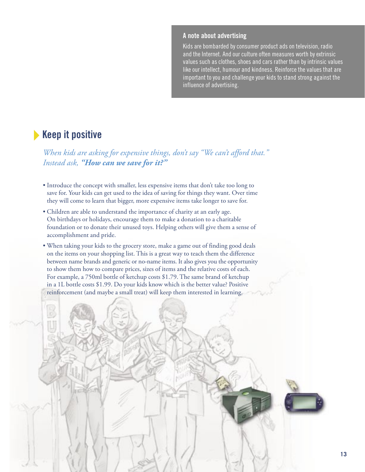### **A note about advertising**

Kids are bombarded by consumer product ads on television, radio and the Internet. And our culture often measures worth by extrinsic values such as clothes, shoes and cars rather than by intrinsic values like our intellect, humour and kindness. Reinforce the values that are important to you and challenge your kids to stand strong against the influence of advertising.

### **Keep it positive**

*When kids are asking for expensive things, don't say "We can't afford that." Instead ask, "How can we save for it?"*

- Introduce the concept with smaller, less expensive items that don't take too long to save for. Your kids can get used to the idea of saving for things they want. Over time they will come to learn that bigger, more expensive items take longer to save for.
- Children are able to understand the importance of charity at an early age. On birthdays or holidays, encourage them to make a donation to a charitable foundation or to donate their unused toys. Helping others will give them a sense of accomplishment and pride.
- When taking your kids to the grocery store, make a game out of finding good deals on the items on your shopping list. This is a great way to teach them the difference between name brands and generic or no-name items. It also gives you the opportunity to show them how to compare prices, sizes of items and the relative costs of each. For example, a 750ml bottle of ketchup costs \$1.79. The same brand of ketchup in a 1L bottle costs \$1.99. Do your kids know which is the better value? Positive reinforcement (and maybe a small treat) will keep them interested in learning.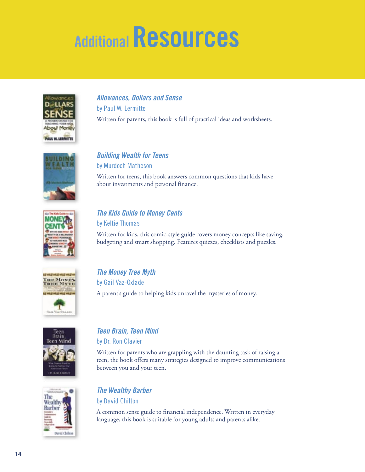# **Additional Resources**



**Allowances, Dollars and Sense** by Paul W. Lermitte Written for parents, this book is full of practical ideas and worksheets.



### **Building Wealth for Teens**

by Murdoch Matheson Written for teens, this book answers common questions that kids have

about investments and personal finance.



### **The Kids Guide to Money Cents**  by Keltie Thomas

Written for kids, this comic-style guide covers money concepts like saving, budgeting and smart shopping. Features quizzes, checklists and puzzles.



**The Money Tree Myth** by Gail Vaz-Oxlade A parent's guide to helping kids unravel the mysteries of money.



### **Teen Brain, Teen Mind**

by Dr. Ron Clavier

Written for parents who are grappling with the daunting task of raising a teen, the book offers many strategies designed to improve communications between you and your teen.



### **The Wealthy Barber**

by David Chilton

A common sense guide to financial independence. Written in everyday language, this book is suitable for young adults and parents alike.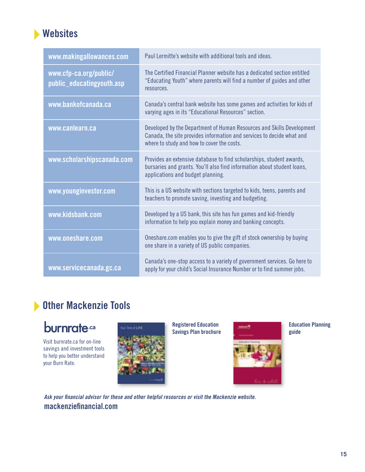### **Websites**

| www.makingallowances.com                            | Paul Lermitte's website with additional tools and ideas.                                                                                                                                     |
|-----------------------------------------------------|----------------------------------------------------------------------------------------------------------------------------------------------------------------------------------------------|
| www.cfp-ca.org/public/<br>public_educatingyouth.asp | The Certified Financial Planner website has a dedicated section entitled<br>"Educating Youth" where parents will find a number of guides and other<br>resources.                             |
| www.bankofcanada.ca                                 | Canada's central bank website has some games and activities for kids of<br>varying ages in its "Educational Resources" section.                                                              |
| www.canlearn.ca                                     | Developed by the Department of Human Resources and Skills Development<br>Canada, the site provides information and services to decide what and<br>where to study and how to cover the costs. |
| www.scholarshipscanada.com                          | Provides an extensive database to find scholarships, student awards,<br>bursaries and grants. You'll also find information about student loans,<br>applications and budget planning.         |
| www.younginvestor.com                               | This is a US website with sections targeted to kids, teens, parents and<br>teachers to promote saving, investing and budgeting.                                                              |
| www.kidsbank.com                                    | Developed by a US bank, this site has fun games and kid-friendly<br>information to help you explain money and banking concepts.                                                              |
| www.oneshare.com                                    | Oneshare.com enables you to give the gift of stock ownership by buying<br>one share in a variety of US public companies.                                                                     |
| www.servicecanada.gc.ca                             | Canada's one-stop access to a variety of government services. Go here to<br>apply for your child's Social Insurance Number or to find summer jobs.                                           |

### **Other Mackenzie Tools**

# burnrate.ca

Visit burnrate.ca for on-line savings and investment tools to help you better understand your Burn Rate.



**Registered Education Savings Plan brochure**



**Education Planning guide** 

Ask your financial advisor for these and other helpful resources or visit the Mackenzie website. mackenziefinancial.com